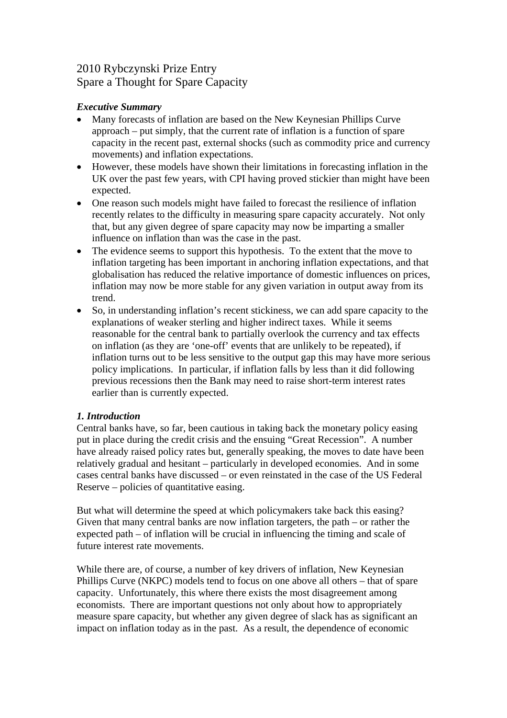# 2010 Rybczynski Prize Entry Spare a Thought for Spare Capacity

# *Executive Summary*

- Many forecasts of inflation are based on the New Keynesian Phillips Curve approach – put simply, that the current rate of inflation is a function of spare capacity in the recent past, external shocks (such as commodity price and currency movements) and inflation expectations.
- However, these models have shown their limitations in forecasting inflation in the UK over the past few years, with CPI having proved stickier than might have been expected.
- One reason such models might have failed to forecast the resilience of inflation recently relates to the difficulty in measuring spare capacity accurately. Not only that, but any given degree of spare capacity may now be imparting a smaller influence on inflation than was the case in the past.
- The evidence seems to support this hypothesis. To the extent that the move to inflation targeting has been important in anchoring inflation expectations, and that globalisation has reduced the relative importance of domestic influences on prices, inflation may now be more stable for any given variation in output away from its trend.
- So, in understanding inflation's recent stickiness, we can add spare capacity to the explanations of weaker sterling and higher indirect taxes. While it seems reasonable for the central bank to partially overlook the currency and tax effects on inflation (as they are 'one-off' events that are unlikely to be repeated), if inflation turns out to be less sensitive to the output gap this may have more serious policy implications. In particular, if inflation falls by less than it did following previous recessions then the Bank may need to raise short-term interest rates earlier than is currently expected.

# *1. Introduction*

Central banks have, so far, been cautious in taking back the monetary policy easing put in place during the credit crisis and the ensuing "Great Recession". A number have already raised policy rates but, generally speaking, the moves to date have been relatively gradual and hesitant – particularly in developed economies. And in some cases central banks have discussed – or even reinstated in the case of the US Federal Reserve – policies of quantitative easing.

But what will determine the speed at which policymakers take back this easing? Given that many central banks are now inflation targeters, the path – or rather the expected path – of inflation will be crucial in influencing the timing and scale of future interest rate movements.

While there are, of course, a number of key drivers of inflation, New Keynesian Phillips Curve (NKPC) models tend to focus on one above all others – that of spare capacity. Unfortunately, this where there exists the most disagreement among economists. There are important questions not only about how to appropriately measure spare capacity, but whether any given degree of slack has as significant an impact on inflation today as in the past. As a result, the dependence of economic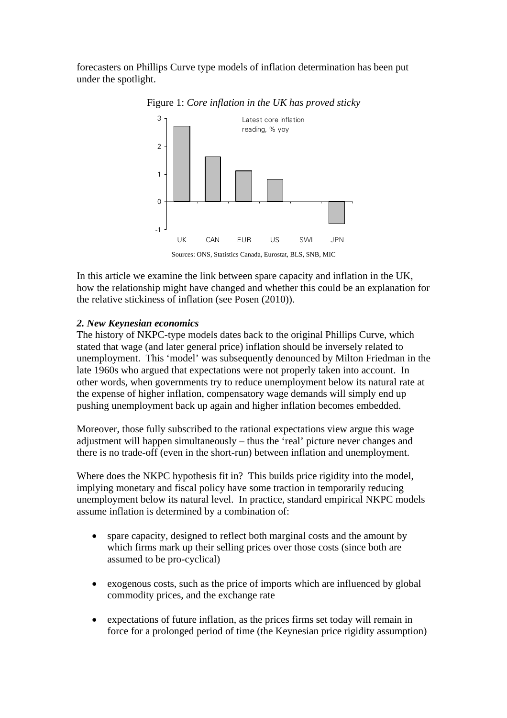forecasters on Phillips Curve type models of inflation determination has been put under the spotlight.



Figure 1: *Core inflation in the UK has proved sticky* 

In this article we examine the link between spare capacity and inflation in the UK, how the relationship might have changed and whether this could be an explanation for the relative stickiness of inflation (see Posen (2010)).

# *2. New Keynesian economics*

The history of NKPC-type models dates back to the original Phillips Curve, which stated that wage (and later general price) inflation should be inversely related to unemployment. This 'model' was subsequently denounced by Milton Friedman in the late 1960s who argued that expectations were not properly taken into account. In other words, when governments try to reduce unemployment below its natural rate at the expense of higher inflation, compensatory wage demands will simply end up pushing unemployment back up again and higher inflation becomes embedded.

Moreover, those fully subscribed to the rational expectations view argue this wage adjustment will happen simultaneously – thus the 'real' picture never changes and there is no trade-off (even in the short-run) between inflation and unemployment.

Where does the NKPC hypothesis fit in? This builds price rigidity into the model, implying monetary and fiscal policy have some traction in temporarily reducing unemployment below its natural level. In practice, standard empirical NKPC models assume inflation is determined by a combination of:

- spare capacity, designed to reflect both marginal costs and the amount by which firms mark up their selling prices over those costs (since both are assumed to be pro-cyclical)
- exogenous costs, such as the price of imports which are influenced by global commodity prices, and the exchange rate
- expectations of future inflation, as the prices firms set today will remain in force for a prolonged period of time (the Keynesian price rigidity assumption)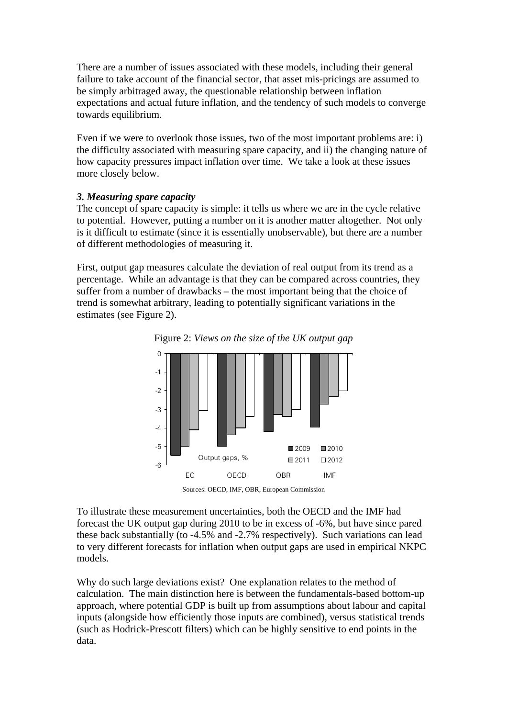There are a number of issues associated with these models, including their general failure to take account of the financial sector, that asset mis-pricings are assumed to be simply arbitraged away, the questionable relationship between inflation expectations and actual future inflation, and the tendency of such models to converge towards equilibrium.

Even if we were to overlook those issues, two of the most important problems are: i) the difficulty associated with measuring spare capacity, and ii) the changing nature of how capacity pressures impact inflation over time. We take a look at these issues more closely below.

### *3. Measuring spare capacity*

The concept of spare capacity is simple: it tells us where we are in the cycle relative to potential. However, putting a number on it is another matter altogether. Not only is it difficult to estimate (since it is essentially unobservable), but there are a number of different methodologies of measuring it.

First, output gap measures calculate the deviation of real output from its trend as a percentage. While an advantage is that they can be compared across countries, they suffer from a number of drawbacks – the most important being that the choice of trend is somewhat arbitrary, leading to potentially significant variations in the estimates (see Figure 2).



Figure 2: *Views on the size of the UK output gap* 

Sources: OECD, IMF, OBR, European Commission

To illustrate these measurement uncertainties, both the OECD and the IMF had forecast the UK output gap during 2010 to be in excess of -6%, but have since pared these back substantially (to -4.5% and -2.7% respectively). Such variations can lead to very different forecasts for inflation when output gaps are used in empirical NKPC models.

Why do such large deviations exist? One explanation relates to the method of calculation. The main distinction here is between the fundamentals-based bottom-up approach, where potential GDP is built up from assumptions about labour and capital inputs (alongside how efficiently those inputs are combined), versus statistical trends (such as Hodrick-Prescott filters) which can be highly sensitive to end points in the data.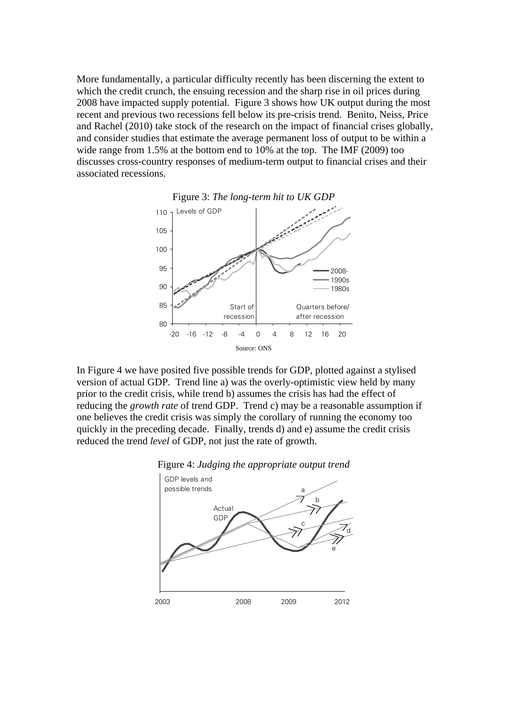More fundamentally, a particular difficulty recently has been discerning the extent to which the credit crunch, the ensuing recession and the sharp rise in oil prices during 2008 have impacted supply potential. Figure 3 shows how UK output during the most recent and previous two recessions fell below its pre-crisis trend. Benito, Neiss, Price and Rachel (2010) take stock of the research on the impact of financial crises globally, and consider studies that estimate the average permanent loss of output to be within a wide range from 1.5% at the bottom end to 10% at the top. The IMF (2009) too discusses cross-country responses of medium-term output to financial crises and their associated recessions.



In Figure 4 we have posited five possible trends for GDP, plotted against a stylised version of actual GDP. Trend line a) was the overly-optimistic view held by many prior to the credit crisis, while trend b) assumes the crisis has had the effect of reducing the *growth rate* of trend GDP. Trend c) may be a reasonable assumption if one believes the credit crisis was simply the corollary of running the economy too quickly in the preceding decade. Finally, trends d) and e) assume the credit crisis reduced the trend *level* of GDP, not just the rate of growth.



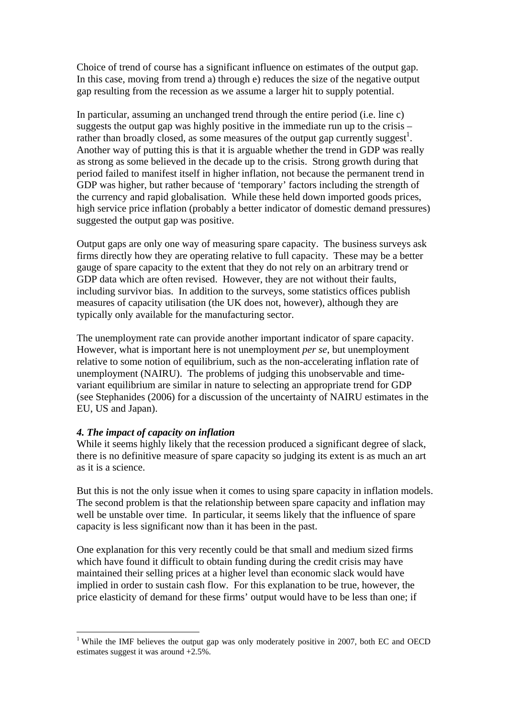Choice of trend of course has a significant influence on estimates of the output gap. In this case, moving from trend a) through e) reduces the size of the negative output gap resulting from the recession as we assume a larger hit to supply potential.

In particular, assuming an unchanged trend through the entire period (i.e. line c) suggests the output gap was highly positive in the immediate run up to the crisis – rather than broadly closed, as some measures of the output gap currently suggest<sup>1</sup>. Another way of putting this is that it is arguable whether the trend in GDP was really as strong as some believed in the decade up to the crisis. Strong growth during that period failed to manifest itself in higher inflation, not because the permanent trend in GDP was higher, but rather because of 'temporary' factors including the strength of the currency and rapid globalisation. While these held down imported goods prices, high service price inflation (probably a better indicator of domestic demand pressures) suggested the output gap was positive.

Output gaps are only one way of measuring spare capacity. The business surveys ask firms directly how they are operating relative to full capacity. These may be a better gauge of spare capacity to the extent that they do not rely on an arbitrary trend or GDP data which are often revised. However, they are not without their faults, including survivor bias. In addition to the surveys, some statistics offices publish measures of capacity utilisation (the UK does not, however), although they are typically only available for the manufacturing sector.

The unemployment rate can provide another important indicator of spare capacity. However, what is important here is not unemployment *per se*, but unemployment relative to some notion of equilibrium, such as the non-accelerating inflation rate of unemployment (NAIRU). The problems of judging this unobservable and timevariant equilibrium are similar in nature to selecting an appropriate trend for GDP (see Stephanides (2006) for a discussion of the uncertainty of NAIRU estimates in the EU, US and Japan).

#### *4. The impact of capacity on inflation*

 $\overline{a}$ 

While it seems highly likely that the recession produced a significant degree of slack, there is no definitive measure of spare capacity so judging its extent is as much an art as it is a science.

But this is not the only issue when it comes to using spare capacity in inflation models. The second problem is that the relationship between spare capacity and inflation may well be unstable over time. In particular, it seems likely that the influence of spare capacity is less significant now than it has been in the past.

One explanation for this very recently could be that small and medium sized firms which have found it difficult to obtain funding during the credit crisis may have maintained their selling prices at a higher level than economic slack would have implied in order to sustain cash flow. For this explanation to be true, however, the price elasticity of demand for these firms' output would have to be less than one; if

<sup>&</sup>lt;sup>1</sup> While the IMF believes the output gap was only moderately positive in 2007, both EC and OECD estimates suggest it was around  $+2.5\%$ .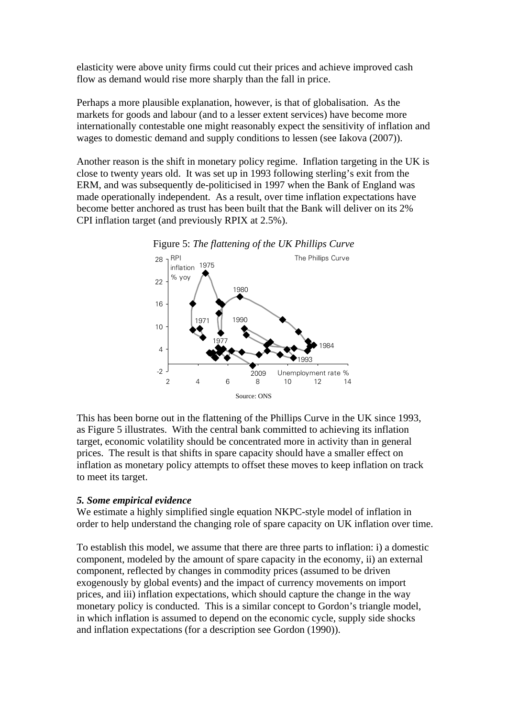elasticity were above unity firms could cut their prices and achieve improved cash flow as demand would rise more sharply than the fall in price.

Perhaps a more plausible explanation, however, is that of globalisation. As the markets for goods and labour (and to a lesser extent services) have become more internationally contestable one might reasonably expect the sensitivity of inflation and wages to domestic demand and supply conditions to lessen (see Iakova (2007)).

Another reason is the shift in monetary policy regime. Inflation targeting in the UK is close to twenty years old. It was set up in 1993 following sterling's exit from the ERM, and was subsequently de-politicised in 1997 when the Bank of England was made operationally independent. As a result, over time inflation expectations have become better anchored as trust has been built that the Bank will deliver on its 2% CPI inflation target (and previously RPIX at 2.5%).



This has been borne out in the flattening of the Phillips Curve in the UK since 1993, as Figure 5 illustrates. With the central bank committed to achieving its inflation target, economic volatility should be concentrated more in activity than in general prices. The result is that shifts in spare capacity should have a smaller effect on inflation as monetary policy attempts to offset these moves to keep inflation on track to meet its target.

### *5. Some empirical evidence*

We estimate a highly simplified single equation NKPC-style model of inflation in order to help understand the changing role of spare capacity on UK inflation over time.

To establish this model, we assume that there are three parts to inflation: i) a domestic component, modeled by the amount of spare capacity in the economy, ii) an external component, reflected by changes in commodity prices (assumed to be driven exogenously by global events) and the impact of currency movements on import prices, and iii) inflation expectations, which should capture the change in the way monetary policy is conducted. This is a similar concept to Gordon's triangle model, in which inflation is assumed to depend on the economic cycle, supply side shocks and inflation expectations (for a description see Gordon (1990)).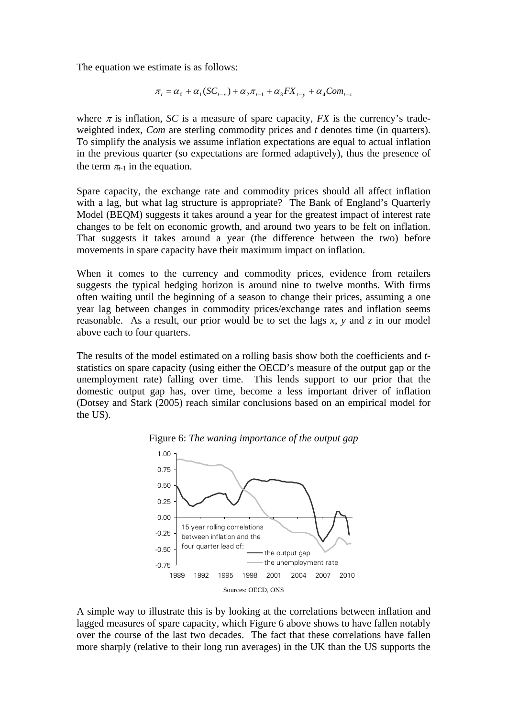The equation we estimate is as follows:

$$
\pi_{t} = \alpha_{0} + \alpha_{1}(SC_{t-x}) + \alpha_{2}\pi_{t-1} + \alpha_{3}FX_{t-y} + \alpha_{4}Com_{t-z}
$$

where  $\pi$  is inflation, *SC* is a measure of spare capacity, *FX* is the currency's tradeweighted index, *Com* are sterling commodity prices and *t* denotes time (in quarters). To simplify the analysis we assume inflation expectations are equal to actual inflation in the previous quarter (so expectations are formed adaptively), thus the presence of the term  $\pi_{t-1}$  in the equation.

Spare capacity, the exchange rate and commodity prices should all affect inflation with a lag, but what lag structure is appropriate? The Bank of England's Quarterly Model (BEQM) suggests it takes around a year for the greatest impact of interest rate changes to be felt on economic growth, and around two years to be felt on inflation. That suggests it takes around a year (the difference between the two) before movements in spare capacity have their maximum impact on inflation.

When it comes to the currency and commodity prices, evidence from retailers suggests the typical hedging horizon is around nine to twelve months. With firms often waiting until the beginning of a season to change their prices, assuming a one year lag between changes in commodity prices/exchange rates and inflation seems reasonable. As a result, our prior would be to set the lags *x*, *y* and *z* in our model above each to four quarters.

The results of the model estimated on a rolling basis show both the coefficients and *t*statistics on spare capacity (using either the OECD's measure of the output gap or the unemployment rate) falling over time. This lends support to our prior that the domestic output gap has, over time, become a less important driver of inflation (Dotsey and Stark (2005) reach similar conclusions based on an empirical model for the US).





A simple way to illustrate this is by looking at the correlations between inflation and lagged measures of spare capacity, which Figure 6 above shows to have fallen notably over the course of the last two decades. The fact that these correlations have fallen more sharply (relative to their long run averages) in the UK than the US supports the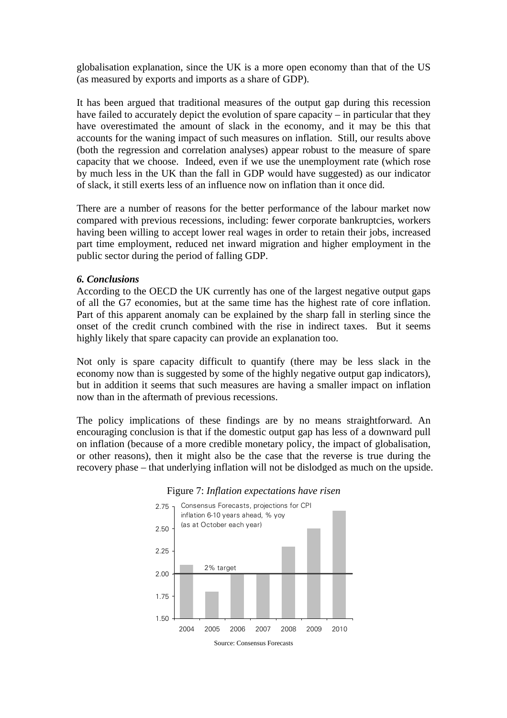globalisation explanation, since the UK is a more open economy than that of the US (as measured by exports and imports as a share of GDP).

It has been argued that traditional measures of the output gap during this recession have failed to accurately depict the evolution of spare capacity – in particular that they have overestimated the amount of slack in the economy, and it may be this that accounts for the waning impact of such measures on inflation. Still, our results above (both the regression and correlation analyses) appear robust to the measure of spare capacity that we choose. Indeed, even if we use the unemployment rate (which rose by much less in the UK than the fall in GDP would have suggested) as our indicator of slack, it still exerts less of an influence now on inflation than it once did.

There are a number of reasons for the better performance of the labour market now compared with previous recessions, including: fewer corporate bankruptcies, workers having been willing to accept lower real wages in order to retain their jobs, increased part time employment, reduced net inward migration and higher employment in the public sector during the period of falling GDP.

#### *6. Conclusions*

According to the OECD the UK currently has one of the largest negative output gaps of all the G7 economies, but at the same time has the highest rate of core inflation. Part of this apparent anomaly can be explained by the sharp fall in sterling since the onset of the credit crunch combined with the rise in indirect taxes. But it seems highly likely that spare capacity can provide an explanation too.

Not only is spare capacity difficult to quantify (there may be less slack in the economy now than is suggested by some of the highly negative output gap indicators), but in addition it seems that such measures are having a smaller impact on inflation now than in the aftermath of previous recessions.

The policy implications of these findings are by no means straightforward. An encouraging conclusion is that if the domestic output gap has less of a downward pull on inflation (because of a more credible monetary policy, the impact of globalisation, or other reasons), then it might also be the case that the reverse is true during the recovery phase – that underlying inflation will not be dislodged as much on the upside.



### Figure 7: *Inflation expectations have risen*